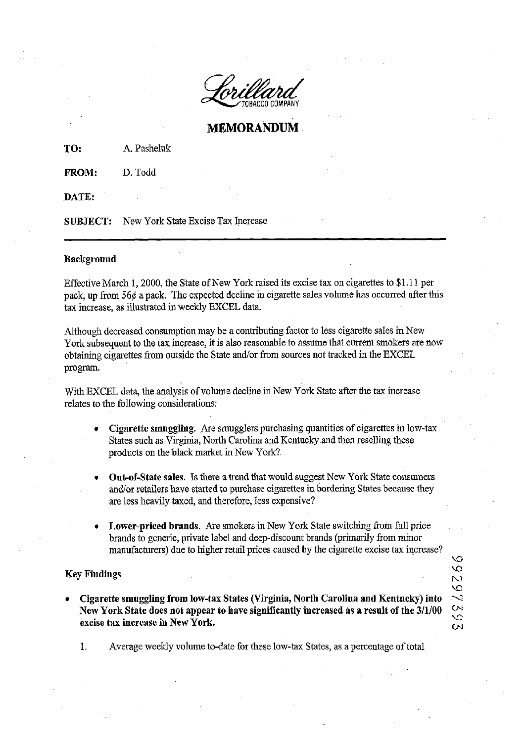

## **MEMORANDUM**

**TO:** A. Pasheluk

**FROM:** D. Todd

**DATE:** 

**SUBJECT:** New York State Excise Tax Increase

## **Background**

Effective March 1,2000, the State of New York raised its excise tax on cigarettes to \$1.1 1 per pack, up from  $56¢$  a pack. The expected decline in cigarette sales volume has occurred after this tax increase, as illustrated in weekly EXCEL data.

Although decreased consumption may be a contributing factor to less cigarette sales in New York subsequent to the tax increase, it is also reasonable to assume that current smokers are now obtaining cigarettes from outside the State and/or from sources not tracked in the EXCEL program.

With EXCEL data, the analysis of volume decline in New York State after the tax increase relates to the following considerations:

- **Cigarette smuggling.** Are smugglers purchasing quantities of cigarettes in low-tax States such as Virginia, North Carolina and Kentucky and then reselling these products on the black market in New York?
- **Out-of-State sales.** Is there a trend that would suggest New York State consumers and/or retailers have started to purchase cigarettes in bordering States because they **are** less heavily taxed, and therefore, less expensive?
- Lower-priced brands. Are smokers in New York State switching from full price brands to generic, private label and deep-discount brands (primarily from minor manufacturers) due to higher retail prices caused by the cigarette excise tax increase?

e<br>S

**FO**   $\tilde{z}$ 

W

## **Key Findings** *c***<sub>3</sub>**

**Cigarette smuggling from low-tax States (Virginia, North Carolina and Kentucky) into New York States (Virginia, North Carolina and Kentucky) into**<br>Cigarette smuggling from low-tax States (Virginia, North Carolina and Kentucky) into<br>New York State does not appear to have significantly increased as a result **EXECUTE IN EXECUTE THE EXECUTE TE EXECUTE THE SET OF STATE STATE STATE SET OF STATE SET OF A LITTLE STATE STATE**<br>excise tax increase in New York.

1. Average weekly volume to-date for these low-tax States, as a percentage of total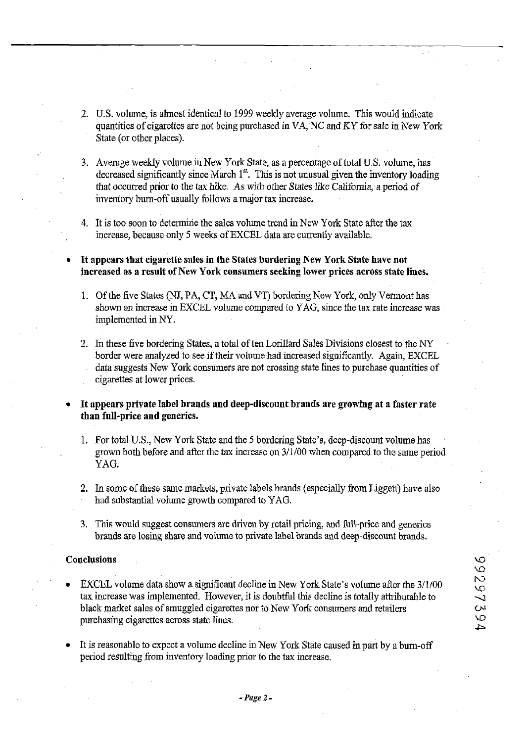- 2. U.S. volume, is almost identical to 1999 weekly average volume. This would indicate quantities of cigarettes are not being purchased in VA, NC and KY for sale in New York State (or other places).
- 3. Average weekly volume in New York State, as a percentage of total U.S. volume, has decreased significantly since March 1<sup>st</sup>. This is not unusual given the inventory loading that occured prior to the tax hike. As with other States like California, a period of inventory burn-off usually follows a major tax increase.
- 4. It is too soon to determine the sales volume trend inNew York State after the tax increase, because only 5 weeks of EXCEL data are currently available.
- **It appears that cigarette sales in the States bordering New York State have not increased as a result of New York consumers seeking lower prices across state lines.** 
	- 1. Of the five States (NJ, PA, CT, MA and VT) bordering New York, only Vermont has shown an increase in EXCEL volume compared to YAG, since the tax rate increase was implemented in NY.
	- 2. In these five bordering States, a total of ten Lorillard Sales Divisions closest to the NY border were analyzed to see if their volume had increased significantly. Again, EXCEL data suggests New York consumers are not crossing state lines to purchase quantities of cigarettes at lower prices.
- **It appears private label brands and deep-discount brands are growing at a faster rate than full-price and generics.** 
	- 1. For total U.S., New York State and the 5 bordering State's, deep-discount volume has grown both before and after the tax increase on 3/1/00 when compared to the same period YAG.
	- 2. In some of these same markets, private labels brands (especially from Liggett) have also had substantial volume growth compared to YAG.
	- **3.** This would suggest consumers are driven by retail pricing, **and** full-price and generics brands are losing share and volume to private label brands and deep-discount brands.

## **Conclusions**

- EXCEL volume data show a significant decline in New York State's volume after the 3/1/00 tax increase was implemented. However, it is doubtful this decline is totally attributable to black market sales of smuggled cigarettes nor to New York consumers and retailers purchasing cigarettes across state lines.
- It is reasonable to expect a volume decline in New York State caused in part by a burn-off period resulting fiom inventory loading prior to the tax increase.

 $\circ$ 16266 Ō. ۱Ó.  $\overline{4}$